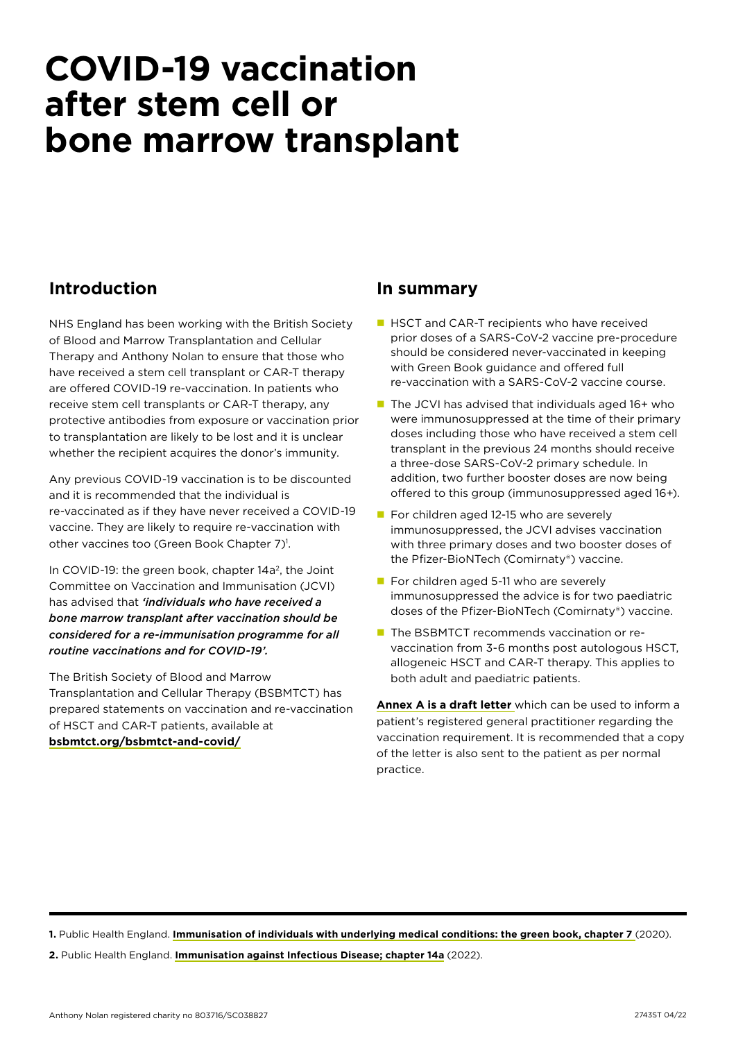## **COVID-19 vaccination after stem cell or bone marrow transplant**

### **Introduction**

NHS England has been working with the British Society of Blood and Marrow Transplantation and Cellular Therapy and Anthony Nolan to ensure that those who have received a stem cell transplant or CAR-T therapy are offered COVID-19 re-vaccination. In patients who receive stem cell transplants or CAR-T therapy, any protective antibodies from exposure or vaccination prior to transplantation are likely to be lost and it is unclear whether the recipient acquires the donor's immunity.

Any previous COVID-19 vaccination is to be discounted and it is recommended that the individual is re-vaccinated as if they have never received a COVID-19 vaccine. They are likely to require re-vaccination with other vaccines too (Green Book Chapter 7)<sup>1</sup>.

In COVID-19: the green book, chapter  $14a^2$ , the Joint Committee on Vaccination and Immunisation (JCVI) has advised that *'individuals who have received a bone marrow transplant after vaccination should be considered for a re-immunisation programme for all routine vaccinations and for COVID-19'.*

The British Society of Blood and Marrow Transplantation and Cellular Therapy (BSBMTCT) has prepared statements on vaccination and re-vaccination of HSCT and CAR-T patients, available at **[bsbmtct.org/bsbmtct-and-covid/](http://bsbmtct.org/bsbmtct-and-covid/)**

#### **In summary**

- **HSCT and CAR-T recipients who have received** prior doses of a SARS-CoV-2 vaccine pre-procedure should be considered never-vaccinated in keeping with Green Book guidance and offered full re-vaccination with a SARS-CoV-2 vaccine course.
- $\blacksquare$  The JCVI has advised that individuals aged 16+ who were immunosuppressed at the time of their primary doses including those who have received a stem cell transplant in the previous 24 months should receive a three-dose SARS-CoV-2 primary schedule. In addition, two further booster doses are now being offered to this group (immunosuppressed aged 16+).
- $\blacksquare$  For children aged 12-15 who are severely immunosuppressed, the JCVI advises vaccination with three primary doses and two booster doses of the Pfizer-BioNTech (Comirnaty®) vaccine.
- $\blacksquare$  For children aged 5-11 who are severely immunosuppressed the advice is for two paediatric doses of the Pfizer-BioNTech (Comirnaty®) vaccine.
- The BSBMTCT recommends vaccination or revaccination from 3-6 months post autologous HSCT, allogeneic HSCT and CAR-T therapy. This applies to both adult and paediatric patients.

**[Annex A is a draft letter](#page-1-0)** which can be used to inform a patient's registered general practitioner regarding the vaccination requirement. It is recommended that a copy of the letter is also sent to the patient as per normal practice.

**1.** Public Health England. **[Immunisation of individuals with underlying medical conditions: the green book, chapter 7](https://www.gov.uk/government/publications/immunisation-of-individuals-with-underlying-medical-conditions-the-green-book-chapter-7.)** (2020). **2.** Public Health England. **[Immunisation against Infectious Disease; chapter 14a](https://www.gov.uk/government/publications/covid-19-the-green-book-chapter-14a)** (2022).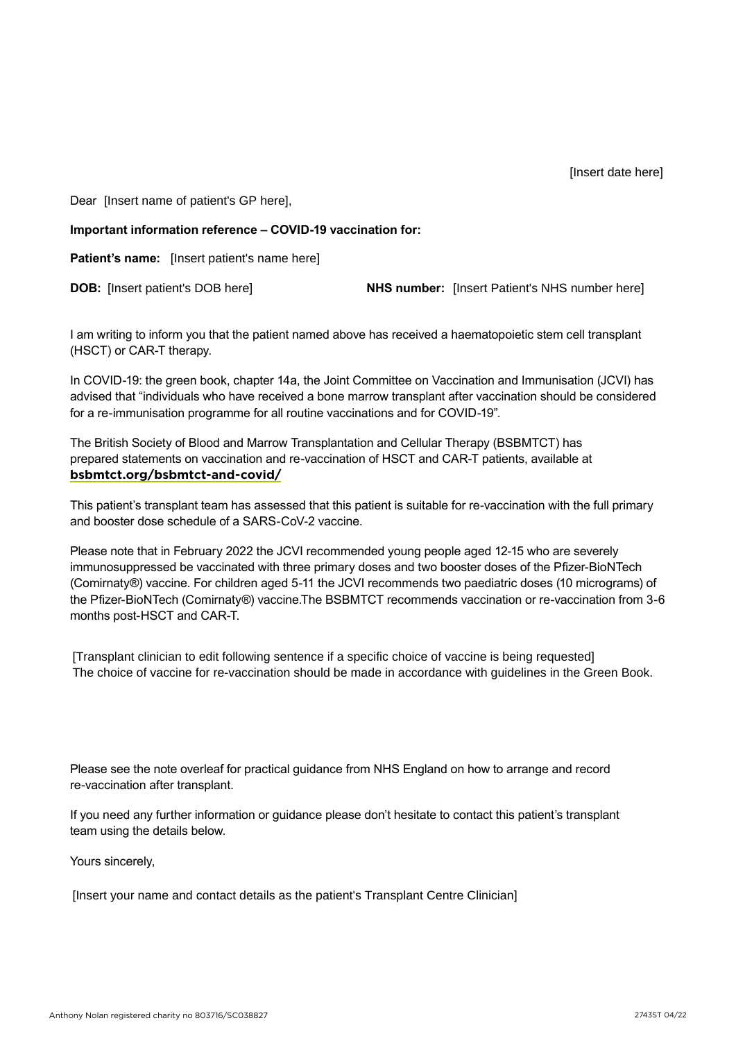Dear [Insert name of patient's GP here],

# <span id="page-1-0"></span>**Important information reference – COVID-19 vaccination for:** [Insert name of patient's GP here],<br>
tant information reference – COVID-19 vaccination for:<br>
t's name: [Insert patient's name here]<br>
[Insert patient's DOB here] MHS number: [Insert Patient's NHS number here]

**Patient's name:** [Insert patient's name here]

**DOB:** [Insert patient's DOB here] **NHS number:** [Insert Patient's NHS number here]

I am writing to inform you that the patient named above has received a haematopoietic stem cell transplant (HSCT) or CAR-T therapy.

In COVID-19: the green book, chapter 14a, the Joint Committee on Vaccination and Immunisation (JCVI) has advised that "individuals who have received a bone marrow transplant after vaccination should be considered for a re-immunisation programme for all routine vaccinations and for COVID-19".

The British Society of Blood and Marrow Transplantation and Cellular Therapy (BSBMTCT) has prepared statements on vaccination and re-vaccination of HSCT and CAR-T patients, available at **[bsbmtct.org/bsbmtct-and-covid/](http://bsbmtct.org/bsbmtct-and-covid/)**

This patient's transplant team has assessed that this patient is suitable for re-vaccination with the full primary and booster dose schedule of a SARS-CoV-2 vaccine.

Please note that in February 2022 the JCVI recommended young people aged 12-15 who are severely immunosuppressed be vaccinated with three primary doses and two booster doses of the Pfizer-BioNTech (Comirnaty®) vaccine. For children aged 5-11 the JCVI recommends two paediatric doses (10 micrograms) of the Pfizer-BioNTech (Comirnaty®) vaccine.The BSBMTCT recommends vaccination or re-vaccination from 3-6 months post-HSCT and CAR-T.

[Transplant clinician to edit following sentence if a specific choice of vaccine is being requested] The choice of vaccine for re-vaccination should be made in accordance with guidelines in the Green Book.

Please see the note overleaf for practical guidance from NHS England on how to arrange and record re-vaccination after transplant.

If you need any further information or guidance please don't hesitate to contact this patient's transplant team using the details below.

Yours sincerely,

[Insert your name and contact details as the patient's Transplant Centre Clinician]